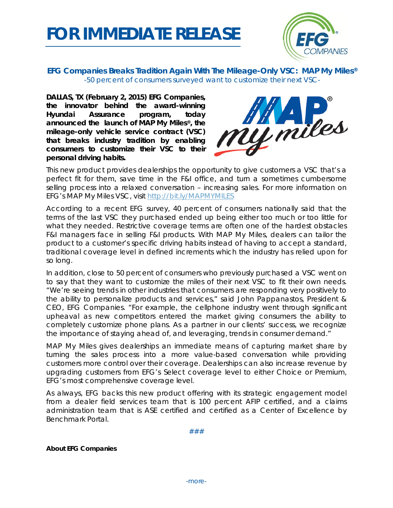



## **EFG Companies Breaks Tradition Again With The Mileage-Only VSC: MAP My Miles®** *-50 percent of consumers surveyed want to customize their next VSC-*

**DALLAS, TX (February 2, 2015) EFG Companies, the innovator behind the award-winning Hyundai Assurance program, today announced the launch of MAP My Miles®, the mileage-only vehicle service contract (VSC) that breaks industry tradition by enabling consumers to customize their VSC to their personal driving habits.**



This new product provides dealerships the opportunity to give customers a VSC that's a perfect fit for them, save time in the F&I office, and turn a sometimes cumbersome selling process into a relaxed conversation – increasing sales. For more information on EFG's MAP My Miles VSC, visit<http://bit.ly/MAPMYMILES>

According to a recent EFG survey, 40 percent of consumers nationally said that the terms of the last VSC they purchased ended up being either too much or too little for what they needed. Restrictive coverage terms are often one of the hardest obstacles F&I managers face in selling F&I products. With MAP My Miles, dealers can tailor the product to a customer's specific driving habits instead of having to accept a standard, traditional coverage level in defined increments which the industry has relied upon for so long.

In addition, close to 50 percent of consumers who previously purchased a VSC went on to say that they want to customize the miles of their next VSC to fit their own needs. "We're seeing trends in other industries that consumers are responding very positively to the ability to personalize products and services," said John Pappanastos, President & CEO, EFG Companies. "For example, the cellphone industry went through significant upheaval as new competitors entered the market giving consumers the ability to completely customize phone plans. As a partner in our clients' success, we recognize the importance of staying ahead of, and leveraging, trends in consumer demand."

MAP My Miles gives dealerships an immediate means of capturing market share by turning the sales process into a more value-based conversation while providing customers more control over their coverage. Dealerships can also increase revenue by upgrading customers from EFG's Select coverage level to either Choice or Premium, EFG's most comprehensive coverage level.

As always, EFG backs this new product offering with its strategic engagement model from a dealer field services team that is 100 percent AFIP certified, and a claims administration team that is ASE certified and certified as a Center of Excellence by Benchmark Portal.

###

**About EFG Companies**